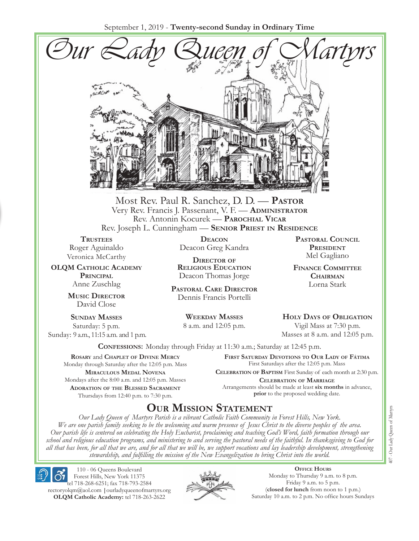September 1, 2019 - **Twenty-second Sunday in Ordinary Time**



Most Rev. Paul R. Sanchez, D. D. — **Pastor** Very Rev. Francis J. Passenant, V. F. — **Administrator** Rev. Antonin Kocurek — **Parochial Vicar** Rev. Joseph L. Cunningham — **Senior Priest in Residence**

**TRUSTEES** Roger Aguinaldo Veronica McCarthy

**OLQM Catholic Academy Principal** Anne Zuschlag

> **Music Director** David Close

**Sunday Masses** Saturday: 5 p.m. Sunday: 9 a.m., 11:15 a.m. and 1 p.m.

**Deacon** Deacon Greg Kandra

**Director of Religious Education** Deacon Thomas Jorge

**Pastoral Care Director** Dennis Francis Portelli

> **Weekday Masses** 8 a.m. and 12:05 p.m.

**Pastoral Council President** Mel Gagliano

**Finance Committee Chairman** Lorna Stark

**Holy Days of Obligation** Vigil Mass at 7:30 p.m.

Masses at 8 a.m. and 12:05 p.m.

**Confessions:** Monday through Friday at 11:30 a.m.; Saturday at 12:45 p.m.

**Rosary** and **Chaplet of Divine Mercy** Monday through Saturday after the 12:05 p.m. Mass **Miraculous Medal Novena** Mondays after the 8:00 a.m. and 12:05 p.m. Masses **Adoration of the Blessed Sacrament** Thursdays from 12:40 p.m. to 7:30 p.m.

**First Saturday Devotions to Our Lady of Fátima** First Saturdays after the 12:05 p.m. Mass

**Celebration of Baptism** First Sunday of each month at 2:30 p.m. **Celebration of Marriage** Arrangements should be made at least **six months** in advance, **prior** to the proposed wedding date.

# **Our Mission Statement**

*Our Lady Queen of Martyrs Parish is a vibrant Catholic Faith Community in Forest Hills, New York. We are one parish family seeking to be the welcoming and warm presence of Jesus Christ to the diverse peoples of the area. Our parish life is centered on celebrating the Holy Eucharist, proclaiming and teaching God's Word, faith formation through our school and religious education programs, and ministering to and serving the pastoral needs of the faithful. In thanksgiving to God for all that has been, for all that we are, and for all that we will be, we support vocations and lay leadership development, strengthening stewardship, and fulfilling the mission of the New Evangelization to bring Christ into the world.*

110 - 06 Queens Boulevard Forest Hills, New York 11375

tel 718-268-6251; fax 718-793-2584 [rectoryolqm@aol.com](mailto:rectoryolqm@aol.com) **|**[ourladyqueenofmartyrs.org](www.ourladyqueenofmartyrs.org) **OLQM Catholic Academy:** tel 718-263-2622



**Office Hours** Monday to Thursday 9 a.m. to 8 p.m. Friday 9 a.m. to 5 p.m. (**closed for lunch** from noon to 1 p.m.) Saturday 10 a.m. to 2 p.m. No office hours Sundays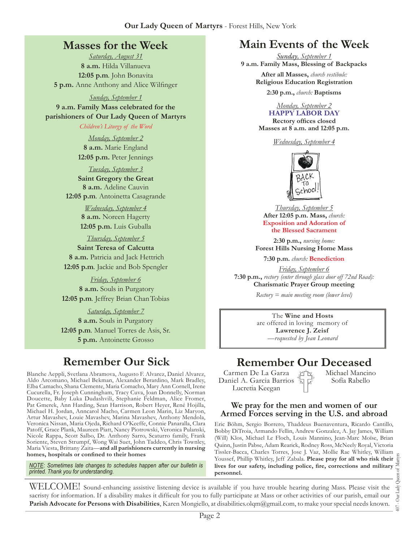# **Masses for the Week**

*Saturday, August 31* **8 a.m.** Hilda Villanueva **12:05 p.m***.* John Bonavita **5 p.m.** Anne Anthony and Alice Wilfinger

*Sunday, September 1* **9 a.m. Family Mass celebrated for the parishioners of Our Lady Queen of Martyrs**

*Children's Liturgy of the Word* 

*Monday, September 2* **8 a.m.** Marie England **12:05 p.m.** Peter Jennings

*Tuesday, September 3* **Saint Gregory the Great 8 a.m.** Adeline Cauvin **12:05 p.m***.* Antoinetta Casagrande

> *Wednesday, September 4* **8 a.m.** Noreen Hagerty **12:05 p.m.** Luis Guballa

*Thursday, September 5* **Saint Teresa of Calcutta 8 a.m.** Patricia and Jack Hettrich **12:05 p.m***.* Jackie and Bob Spengler

*Friday, September 6*  **8 a.m.** Souls in Purgatory **12:05 p.m***.* Jeffrey Brian ChanTobias

*Saturday, September 7* **8 a.m.** Souls in Purgatory **12:05 p.m***.* Manuel Torres de Asis, Sr. **5 p.m.** Antoinette Grosso

Blanche Aeppli, Svetlana Abramova, Augusto F. Alvarez, Daniel Alvarez, Aldo Arcomano, Michael Bekman, Alexander Berardino, Mark Bradley, Elba Camacho, Shana Clemente, Maria Comacho, Mary Ann Cornell, Irene Cucurella, Fr. Joseph Cunningham, Tracy Cuva, Joan Donnelly, Norman Doucette, Baby Luka Dudashvili, Stephanie Feldman, Alice Fromer, Pat Gmerek, Ann Harding, Sean Harrison, Robert Heyer, René Hojilla, Michael H. Jordan, Anncarol Macho, Carmen Leon Marin, Liz Maryon, Artur Mavashev, Louie Mavashev, Marina Mavashev, Anthony Mendola, Veronica Nissan, Maria Ojeda, Richard O'Keeffe, Connie Panaralla, Clara Patoff, Grace Plank, Maureen Piatt, Nancy Piotrowski, Veronica Pulanski, Nicole Rappa, Scott Salbo, Dr. Anthony Sarro, Scaturro family, Frank Soriente, Steven Strumpf, Wong Wai Suet, John Taddeo, Chris Townley, Maria Viesta, Brittany Zaita—**and all parishioners currently in nursing homes, hospitals or confined to their homes**

*NOTE: Sometimes late changes to schedules happen after our bulletin is printed. Thank you for understanding.*

# **Main Events of the Week**

*Sunday, September 1* **9 a.m. Family Mass, Blessing of Backpacks** 

> **After all Masses,** *church vestibule:* **Religious Education Registration**

> > **2:30 p.m.,** *church:* **Baptisms**

*Monday, September 2* **HAPPY Labor Day**

**Rectory offices closed Masses at 8 a.m. and 12:05 p.m.**

*Wednesday, September 4*



*Thursday, September 5* **After 12:05 p.m. Mass,** *church:*  **Exposition and Adoration of the Blessed Sacrament**

**2:30 p.m.,** *nursing home:*  **Forest Hills Nursing Home Mass**

**7:30 p.m.** *church:* **Benediction** 

*Friday, September 6* **7:30 p.m.,** *rectory (enter through glass door off 72nd Road):* **Charismatic Prayer Group meeting**

*Rectory = main meeting room (lower level)*

The **Wine and Hosts** are offered in loving memory of **Lawrence J. Zeisf** *—requested by Jean Leonard*

# **Remember Our Sick Remember Our Deceased**<br>
K. Svetlana Abramova, Augusto F. Alvarez, Daniel Alvarez, Carmen De La Garza Artis, Michael Mancin

Carmen De La Garza Daniel A. Garcia Barrios Lucretia Keegan

Michael Mancino Sofía Rabello

#### **We pray for the men and women of our Armed Forces serving in the U.S. and abroad**

Eric Böhm, Sergio Borrero, Thaddeus Buenaventura, Ricardo Cantillo, Bobby DiTroia, Armando Fellin, Andrew Gonzalez, A. Jay James, William (Will) Klos, Michael Le Floch, Louis Mannino, Jean-Marc Moïse, Brian Quinn, Justin Pabse, Adam Rearick, Rodney Ross, McNeely Royal, Victoria Tissler-Bacca, Charles Torres, Jose J. Vaz, Mollie Rae Whitley, William Youssef, Phillip Whitley, Jeff Zabala. **Please pray for all who risk their lives for our safety, including police, fire, corrections and military personnel.**

407 - Our Lady Queen of Martyrs Our Lady  $\overline{407}$  .

WELCOME! Sound-enhancing assistive listening device is available if you have trouble hearing during Mass. Please visit the sacristy for information. If a disability makes it difficult for you to fully participate at Mass or other activities of our parish, email our **Parish Advocate for Persons with Disabilities**, Karen Mongiello, at [disabilities.olqm@gmail.com,](mailto:disabilities.olqm@gmail.com) to make your special needs known.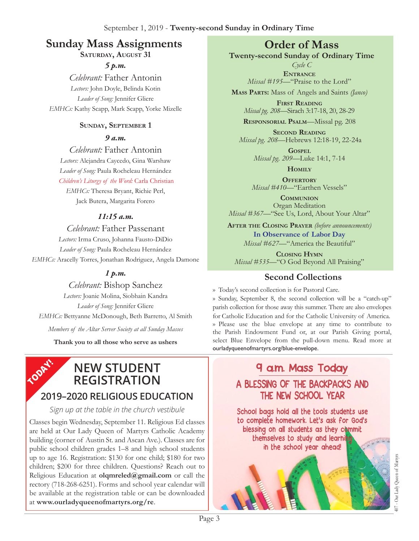# **Sunday Mass Assignments Order of Mass**

**Saturday, August 31**

*5 p.m.* 

*Celebrant:* Father Antonin *Lectors:* John Doyle, Belinda Kotin *Leader of Song:* Jennifer Gliere *EMHCs:* Kathy Scapp, Mark Scapp, Yorke Mizelle

#### **Sunday, September 1**

*9 a.m.* 

*Celebrant:* Father Antonin *Lectors:* Alejandra Caycedo, Gina Warshaw *Leader of Song:* Paula Rocheleau Hernández *Children's Liturgy of the Word:* Carla Christian

*EMHCs:* Theresa Bryant, Richie Perl, Jack Butera, Margarita Forero

## *11:15 a.m.*

*Celebrant:* Father Passenant *Lectors:* Irma Cruso, Johanna Fausto-DiDio *Leader of Song:* Paula Rocheleau Hernández *EMHCs:* Aracelly Torres, Jonathan Rodriguez, Angela Damone

# *1 p.m.*

*Celebrant:* Bishop Sanchez *Lectors:* Joanie Molina, Siobhain Kandra *Leader of Song:* Jennifer Gliere *EMHCs:* Bettyanne McDonough, Beth Barretto, Al Smith *Members of the Altar Server Society at all Sunday Masses*

**Thank you to all those who serve as ushers**

#### **TODAY! New Student Registration**

# **2019–2020 Religious Education**

### *Sign up at the table in the church vestibule*

Classes begin Wednesday, September 11. Religious Ed classes are held at Our Lady Queen of Martyrs Catholic Academy building (corner of Austin St. and Ascan Ave.). Classes are for public school children grades 1–8 and high school students up to age 16. Registration: \$130 for one child; \$180 for two children; \$200 for three children. Questions? Reach out to Religious Education at **[olqmreled@gmail.com](mailto:olqmreled@gmail.com)** or call the rectory (718-268-6251). Forms and school year calendar will be available at the registration table or can be downloaded at **www.ourladyqueenofmartyrs.org/re**.

**Twenty-second Sunday of Ordinary Time**

*Cycle C* **Entrance** *Missal #195—*"Praise to the Lord"

**Mass Parts:** Mass of Angels and Saints *(Janco)*

**First Reading** *Missal pg. 208—*Sirach 3:17-18, 20, 28-29

**Responsorial Psalm**—Missal pg. 208

**Second Reading** *Missal pg. 208—*Hebrews 12:18-19, 22-24a

> **Gospel** *Missal pg. 209—*Luke 14:1, 7-14

**Homily**

**OFFERTORY** *Missal #410—*"Earthen Vessels"

**Communion** Organ Meditation *Missal #367—*"See Us, Lord, About Your Altar"

**After the Closing Prayer** *(before announcements)* **In Observance of Labor Day** *Missal #627—*"America the Beautiful"

**Closing Hymn** *Missal #535*—"O God Beyond All Praising"

# **Second Collections**

›› Today's second collection is for Pastoral Care.

›› Sunday, September 8, the second collection will be a "catch-up" parish collection for those away this summer. There are also envelopes for Catholic Education and for the Catholic University of America. ›› Please use the blue envelope at any time to contribute to the Parish Endowment Fund or, at our Parish Giving portal, select Blue Envelope from the pull-down menu. Read more at ourladyqueenofmartyrs.org/blue-envelope.

# 9 a.m. Mass Today A BLESSING OF THE BACKPACKS AND THE NEW SCHOOL YEAR

School bags hold all the tools students use to complete homework. Let's ask for God's blessing on all students as they commit themselves to study and learning in the school year ahead!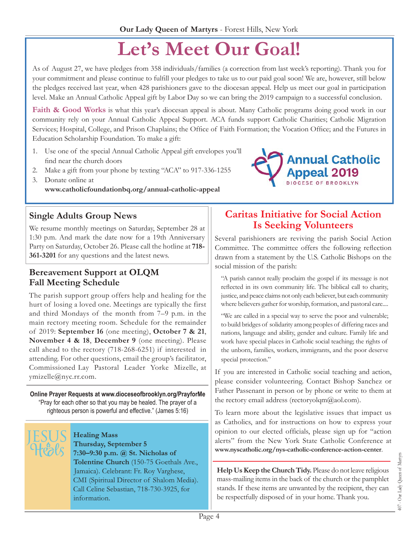# **Let's Meet Our Goal!**

As of August 27, we have pledges from 358 individuals/families (a correction from last week's reporting). Thank you for your commitment and please continue to fulfill your pledges to take us to our paid goal soon! We are, however, still below the pledges received last year, when 428 parishioners gave to the diocesan appeal. Help us meet our goal in participation level. Make an Annual Catholic Appeal gift by Labor Day so we can bring the 2019 campaign to a successful conclusion.

**Faith & Good Works** is what this year's diocesan appeal is about. Many Catholic programs doing good work in our community rely on your Annual Catholic Appeal Support. ACA funds support Catholic Charities; Catholic Migration Services; Hospital, College, and Prison Chaplains; the Office of Faith Formation; the Vocation Office; and the Futures in Education Scholarship Foundation. To make a gift:

- 1. Use one of the special Annual Catholic Appeal gift envelopes you'll find near the church doors
- 2. Make a gift from your phone by texting "ACA" to 917-336-1255
- 3. Donate online at **[www.catholicfoundationbq.org/annual-](www.catholicfoundationbq.org/annual)catholic-appeal**



We resume monthly meetings on Saturday, September 28 at 1:30 p.m. And mark the date now for a 19th Anniversary Party on Saturday, October 26. Please call the hotline at **718- 361-3201** for any questions and the latest news.

#### **Bereavement Support at OLQM Fall Meeting Schedule**

The parish support group offers help and healing for the hurt of losing a loved one. Meetings are typically the first and third Mondays of the month from 7–9 p.m. in the main rectory meeting room. Schedule for the remainder of 2019: **September 16** (one meeting), **October 7 & 21**, **November 4 & 18**, **December 9** (one meeting). Please call ahead to the rectory (718-268-6251) if interested in attending. For other questions, email the group's facilitator, Commissioned Lay Pastoral Leader Yorke Mizelle, at [ymizelle@nyc.rr.com.](mailto:ymizelle@nyc.rr.com)

**Online Prayer Requests at [www.dioceseofbrooklyn.org/PrayforMe](www.dioceseofbrooklyn.org/prayforme)** "Pray for each other so that you may be healed. The prayer of a righteous person is powerful and effective." (James 5:16)

#### **Healing Mass** Thursday, September 5 7:30-9:30 p.m. @ St. Nicholas of Tolentine Church (150-75 Goethals Ave.,

Jamaica). Celebrant: Fr. Roy Varghese, CMI (Spiritual Director of Shalom Media). Call Celine Sebastian, 718-730-3925, for information.

# **Caritas Initiative for Social Action Is Seeking Volunteers**

Several parishioners are reviving the parish Social Action Committee. The committee offers the following reflection drawn from a statement by the U.S. Catholic Bishops on the social mission of the parish:

"A parish cannot really proclaim the gospel if its message is not reflected in its own community life. The biblical call to charity, justice, and peace claims not only each believer, but each community where believers gather for worship, formation, and pastoral care....

"We are called in a special way to serve the poor and vulnerable; to build bridges of solidarity among peoples of differing races and nations, language and ability, gender and culture. Family life and work have special places in Catholic social teaching; the rights of the unborn, families, workers, immigrants, and the poor deserve special protection."

If you are interested in Catholic social teaching and action, please consider volunteering. Contact Bishop Sanchez or Father Passenant in person or by phone or write to them at the rectory email address (rectoryolqm $(\partial_{\alpha}$ aol.com).

To learn more about the legislative issues that impact us as Catholics, and for instructions on how to express your opinion to our elected officials, please sign up for "action alerts" from the New York State Catholic Conference at **[www.nyscatholic.org/nys-catholic-conference-action-center](https://www.nyscatholic.org/nys-catholic-conference-action-center/)**.

**Help Us Keep the Church Tidy.** Please do not leave religious mass-mailing items in the back of the church or the pamphlet stands. If these items are unwanted by the recipient, they can be respectfully disposed of in your home. Thank you.

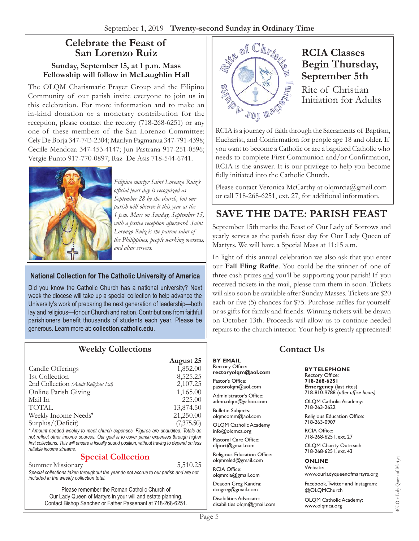## **Celebrate the Feast of San Lorenzo Ruiz**

#### **Sunday, September 15, at 1 p.m. Mass Fellowship will follow in McLaughlin Hall**

The OLQM Charismatic Prayer Group and the Filipino Community of our parish invite everyone to join us in this celebration. For more information and to make an in-kind donation or a monetary contribution for the reception, please contact the rectory (718-268-6251) or any one of these members of the San Lorenzo Committee: Cely De Borja 347-743-2304; Marilyn Pagmanua 347-791-4398; Cecille Mendoza 347-453-4147; Jun Pastrana 917-251-0596; Vergie Punto 917-770-0897; Raz De Asis 718-544-6741.



*Filipino martyr Saint Lorenzo Ruiz's official feast day is recognized as September 28 by the church, but our parish will observe it this year at the 1 p.m. Mass on Sunday, September 15, with a festive reception afterward. Saint Lorenzo Ruiz is the patron saint of the Philippines, people working overseas, and altar servers.*

#### **National Collection for The Catholic University of America**

Did you know the Catholic Church has a national university? Next week the diocese will take up a special collection to help advance the University's work of preparing the next generation of leadership—both lay and religious—for our Church and nation. Contributions from faithful parishioners benefit thousands of students each year. Please be generous. Learn more at: **<collection.catholic.edu>**.



# **RCIA Classes Begin Thursday, September 5th**

Rite of Christian Initiation for Adults

RCIA is a journey of faith through the Sacraments of Baptism, Eucharist, and Confirmation for people age 18 and older. If you want to become a Catholic or are a baptized Catholic who needs to complete First Communion and/or Confirmation, RCIA is the answer. It is our privilege to help you become fully initiated into the Catholic Church.

Please contact Veronica McCarthy at [olqmrcia@gmail.com](mailto:olqmrcia@gmail.com) or call 718-268-6251, ext. 27, for additional information.

# **SAVE THE DATE: PARISH FEAST**

September 15th marks the Feast of Our Lady of Sorrows and yearly serves as the parish feast day for Our Lady Queen of Martyrs. We will have a Special Mass at 11:15 a.m.

In light of this annual celebration we also ask that you enter our **Fall Fling Raffle**. You could be the winner of one of three cash prizes and you'll be supporting your parish! If you received tickets in the mail, please turn them in soon. Tickets will also soon be available after Sunday Masses. Tickets are \$20 each or five (5) chances for \$75. Purchase raffles for yourself or as gifts for family and friends. Winning tickets will be drawn on October 13th. Proceeds will allow us to continue needed repairs to the church interior. Your help is greatly appreciated!

| <b>Weekly Collections</b>                                                                                                                                                                                           |            |                                              |
|---------------------------------------------------------------------------------------------------------------------------------------------------------------------------------------------------------------------|------------|----------------------------------------------|
|                                                                                                                                                                                                                     | August 25  | <b>BY EMAIL</b>                              |
| Candle Offerings                                                                                                                                                                                                    | 1,852.00   | <b>Rectory Office:</b><br>rectoryolgm@aol.co |
| 1st Collection                                                                                                                                                                                                      | 8,525.25   |                                              |
| 2nd Collection (Adult Religious Ed)                                                                                                                                                                                 | 2,107.25   | Pastor's Office:<br>pastorolgm@aol.com       |
| Online Parish Giving                                                                                                                                                                                                | 1,165.00   | Administrator's Office:                      |
| Mail In                                                                                                                                                                                                             | 225.00     | admn.olgm@yahoo.co                           |
| <b>TOTAL</b>                                                                                                                                                                                                        | 13,874.50  | <b>Bulletin Subjects:</b>                    |
| Weekly Income Needs*                                                                                                                                                                                                | 21,250.00  | olgmcomm@aol.com                             |
| Surplus/(Deficit)                                                                                                                                                                                                   | (7,375.50) | <b>OLOM Catholic Acade</b>                   |
| * Amount needed weekly to meet church expenses. Figures are unaudited. Totals do                                                                                                                                    |            | info@olgmca.org                              |
| not reflect other income sources. Our goal is to cover parish expenses through higher<br>first collections. This will ensure a fiscally sound position, without having to depend on less<br>reliable income streams |            | Pastoral Care Office:<br>dfport@gmail.com    |

#### **Special Collection**

Summer Missionary 5,510.25 *Special collections taken throughout the year do not accrue to our parish and are not included in the weekly collection total.*

Please remember the Roman Catholic Church of Our Lady Queen of Martyrs in your will and estate planning. Contact Bishop Sanchez or Father Passenant at 718-268-6251. **rectoryolqm@aol.com**

om

lemy

dfport@gmail.com

Religious Education Office: olqmreled@gmail.com

RCIA Office: [olqmrcia@gmail.com](mailto:olqmrcia@gmail.com)

Deacon Greg Kandra: dcngreg@gmail.com

Disabilities Advocate: [disabilities.olqm@gmail.com](mailto:disabilities.olqm@gmail.com)

### **Contact Us**

**By Telephone** Rectory Office:

**718-268-6251 Emergency** (last rites) 718-810-9788 (*after office hours)*

OLQM Catholic Academy: 718-263-2622

Religious Education Office: 718-263-0907

RCIA Office: 718-268-6251, ext. 27

OLQM Charity Outreach: 718-268-6251, ext. 43

#### **Online** Website:

www.ourladyqueenofmartyrs.org

Facebook, Twitter and Instagram: @OLQMChurch

OLQM Catholic Academy: <www.olqmca.org>